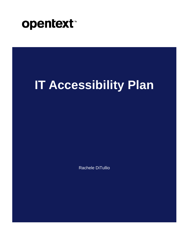

# **IT Accessibility Plan**

Rachele DiTullio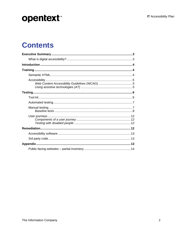### **Contents**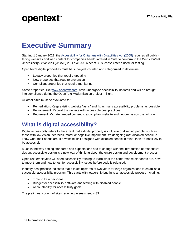### <span id="page-2-0"></span>**Executive Summary**

Starting 1 January 2021, the [Accessibility for Ontarians with Disabilities Act \(2005\)](https://www.deque.com/blog/are-you-ready-for-the-aoda-2021-deadline/) requires all publicfacing websites and web content for companies headquartered in Ontario conform to the *Web Content Accessibility Guidelines* (WCAG) 2.0 Level AA, a set of 38 success criteria used for testing.

OpenText's digital properties must be surveyed, counted and categorized to determine:

- Legacy properties that require updating
- New properties that require prevention
- Compliant properties that require monitoring

Some properties, like [www.opentext.com,](http://www.opentext.com/) have undergone accessibility updates and will be brought into compliance during the OpenText Modernization project in flight.

All other sites must be evaluated for

- Remediation: Keep existing website "as-is" and fix as many accessibility problems as possible.
- Replacement: Rebuild the website with accessible best practices.
- Retirement: Migrate needed content to a compliant website and decommission the old one.

#### <span id="page-2-1"></span>**What is digital accessibility?**

Digital accessibility refers to the extent that a digital property is inclusive of disabled people, such as those with low vision, deafness, motor or cognitive impairment. It's designing *with* disabled people to know what their needs are. If a website isn't designed with disabled people in mind, then it's not likely to be accessible.

Much in the way coding standards and expectations had to change with the introduction of responsive design, accessible design is a new way of thinking about the entire design and development process.

OpenText employees will need accessibility training to learn what the conformance standards are, how to meet them and how to test for accessibility issues before code is released.

Industry best practice indicates that it takes upwards of two years for large organizations to establish a successful accessibility program. This starts with leadership buy-in to an accessible process including:

- Time to train personnel
- Budget for accessibility software and testing with disabled people
- Accountability for accessibility goals

The preliminary count of sites requiring assessment is 33.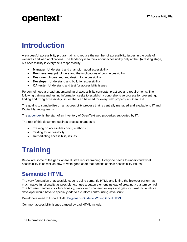### <span id="page-3-0"></span>**Introduction**

A successful accessibility program aims to reduce the number of accessibility issues in the code of websites and web applications. The tendency is to think about accessibility only at the QA testing stage, but accessibility is everyone's responsibility.

- **Manager:** Understand and champion good accessibility
- **Business analyst**: Understand the implications of poor accessibility
- **Designer**: Understand and design for accessibility
- **Developer**: Understand and build for accessibility
- **QA tester**: Understand and test for accessibility issues

Personnel need a broad understanding of accessibility concepts, practices and requirements. The following training and testing information seeks to establish a conprehensive process for preventing, finding and fixing accessibility issues that can be used for every web property at OpenText.

The goal is to standardize on an accessibility process that is centrally managed and available to IT and Digital Marketing teams.

The **appendex** is the start of an inventory of OpenText web properites supported by IT.

The rest of this document outlines process changes to

- Training on accessible coding methods
- Testing for accessibility
- Remediating accessibility issues

### <span id="page-3-1"></span>**Training**

Below are some of the gaps where IT staff require training. Everyone needs to understand what accessibility is as well as how to write good code that doesn't contain accessibility issues.

#### <span id="page-3-2"></span>**Semantic HTML**

The very foundation of accessible code is using semantic HTML and letting the browser perform as much native functionality as possible, e.g. use a button element instead of creating a custom control. The browser handles click functionality, works with space/enter keys and gets focus—functionality a developer would have to specially add to a custom control using JavaScript.

Developers need to know HTML: [Beginner's Guide to Writing Good HTML](https://websitesetup.org/html-tutorial-beginners/)

Common accessibility issues caused by bad HTML include: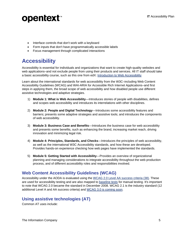- Interface controls that don't work with a keyboard
- Form inputs that don't have programmatically accessible labels
- Focus management through complicated interactions

### <span id="page-4-0"></span>**Accessibility**

Accessibility is essential for individuals and organizations that want to create high-quality websites and web applications–and not exclude people from using their products and services. All IT staff should take a basic accessibility course, such as this one from edX: [Introduction to Web Accessibility](https://www.edx.org/course/web-accessibility-introduction)

Learn about the international standards for web accessibility from the W3C–including Web Content Accessibility Guidelines (WCAG) and WAI-ARIA for Accessible Rich Internet Applications–and first steps in applying them, the broad scope of web accessibility and how disabled people use different assistive technologies and adaptive strategies.

- 1) **Module 1: What is Web Accessibility**—Introduces stories of people with disabilities, defines and scopes web accessibility and introduces its interrelations with other disciplines.
- 2) **Module 2: People and Digital Technology**—Introduces some accessibility features and barriers; presents some adaptive strategies and assistive tools; and introduces the components of web accessibility.
- 3) **Module 3: Business Case and Benefits**—Introduces the business case for web accessibility and presents some benefits, such as enhancing the brand, increasing market reach, driving innovation and minimizing legal risk.
- 4) **Module 4: Principles, Standards, and Checks**—Introduces the principles of web accessibility, as well as the international W3C Accessibility standards, and how these are developed. Provides hands-on experience checking how web pages have implemented the standards.
- 5) **Module 5: Getting Started with Accessibility**—Provides an overview of organizational planning and managing considerations to integrate accessibility throughout the web production process, and of different accessibility roles and responsibilities involved.

#### <span id="page-4-1"></span>**Web Content Accessibility Guidelines (WCAG)**

Accessibility under the AODA is evaluated using the [WCAG 2.0 Level AA success criteria](https://www.w3.org/WAI/WCAG21/quickref/?showtechniques=121¤tsidebar=%23col_customize&versions=2.0&levels=aaa) (38). These are used for accessibility testing and are also mapped to [baseline tests](#page-7-0) for manual testing. It's important to note that WCAG 2.0 became the standard in December 2008. WCAG 2.1 is the industry standard (12 additional Level A and AA success criteria) and [WCAG 3.0 is coming soon.](https://www.deque.com/blog/first-public-working-draft-wcag-3/)

#### <span id="page-4-2"></span>**Using assistive technologies (AT)**

Common AT uses include: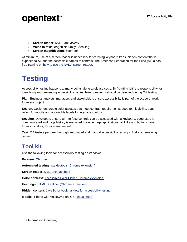

- **Screen reader**: NVDA and JAWS
- **Voice to text**: Dragon Naturally Speaking
- **Screen magnification**: ZoomText

At minimum, use of a screen reader is necessary for catching keyboard traps, hidden content that is exposed to AT and the accessible names of controls. The American Federation for the Blind (AFB) has free training on [how to use the NVDA screen reader.](https://www.afb.org/blindness-and-low-vision/using-technology/assistive-technology-videos/learn-nvda)

### <span id="page-5-0"></span>**Testing**

Accessibility testing happens at many points along a release cycle. By "shifting left" the responsibility for identifying and preventing accessibility issues, fewer problems should be detected during QA testing.

**Plan**: Business analysts, managers and stakeholders ensure accessibility is part of the scope of work for every project.

**Design**: Designers create color palettes that meet contrast requirements, good font legibility, page reflow for mobile and accessible labels for interface controls.

**Develop**: Developers ensure all interface controls can be accessed with a keyboard; page state is communicated and page history is managed in single page applications; all links and buttons have focus indicators; focus management.

**Test**: QA testers perform thorough automated and manual accessibility testing to find any remaining issues.

#### <span id="page-5-1"></span>**Tool kit**

Use the following tools for accessibility testing on Windows:

**Browser**: [Chrome](https://www.google.com/intl/en/chrome/)

**Automated testing**: [axe devtools](https://chrome.google.com/webstore/detail/axe-web-accessibility-tes/lhdoppojpmngadmnindnejefpokejbdd) (Chrome extension)

**Screen reader**: [NVDA](https://www.nvaccess.org/download/) [\(cheat sheet\)](https://dequeuniversity.com/screenreaders/nvda-keyboard-shortcuts)

**Color contrast**: [Accessible Color Picker \(Chrome extension\)](https://chrome.google.com/webstore/detail/accessible-color-picker/bgfhbflmeekopanooidljpnmnljdihld/related)

**Headings**: [HTML5 Outliner \(Chrome extension\)](https://chrome.google.com/webstore/detail/html5-outliner/afoibpobokebhgfnknfndkgemglggomo)

**Hidden content**: [JavaScript bookmarklets for accessibility testing](https://pauljadam.com/bookmarklets.html)

**Mobile:** iPhone with VoiceOver on iOS [\(cheat sheet\)](https://dequeuniversity.com/screenreaders/voiceover-ios-shortcuts)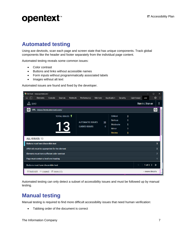### <span id="page-6-0"></span>**Automated testing**

Using axe devtools, scan each page and screen state that has unique components. Track global components like the header and footer separately from the individual page content.

Automated testing reveals some common issues:

- Color contrast
- Buttons and links without accessible names
- Form inputs without programmatically associated labels
- Images without alt text

Automated issues are found and fixed by the developer.



Automated testing can only detect a subset of accessibility issues and must be followed up by manual testing.

#### <span id="page-6-1"></span>**Manual testing**

Manual testing is required to find more difficult accessibility issues that need human verification:

• Tabbing order of the document is correct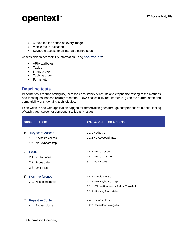- Alt text makes sense on every image
- Visible focus indication
- Keyboard access to all interface controls, etc.

Assess hidden accessibility information using [bookmarklets:](https://pauljadam.com/bookmarklets.html)

- ARIA attributes
- **Tables**
- Image alt text
- Tabbing order
- Forms, etc.

#### <span id="page-7-0"></span>**Baseline tests**

Baseline tests reduce ambiguity, increase consistency of results and emphasize testing of the methods and techniques that can reliably meet the AODA accessibility requirements, given the current state and compatibility of underlying technologies.

Each website and web application flagged for remediation goes through comprehensive manual testing of each page, screen or component to identify issues.

|    | <b>Baseline Tests</b>                                                   | <b>WCAG Success Criteria</b>                                                                                               |
|----|-------------------------------------------------------------------------|----------------------------------------------------------------------------------------------------------------------------|
| 1) | <b>Keyboard Access</b><br>1.1. Keyboard access<br>1.2. No keyboard trap | 2.1.1 Keyboard<br>2.1.2 No Keyboard Trap                                                                                   |
| 2) | <b>Focus</b><br>2.1. Visible focus<br>2.2. Focus order<br>2.3. On Focus | 2.4.3 - Focus Order<br>2.4.7 - Focus Visible<br>3.2.1 - On Focus                                                           |
| 3) | Non-Interference<br>3.1. Non-interference                               | 1.4.2 - Audio Control<br>2.1.2 - No Keyboard Trap<br>2.3.1 - Three Flashes or Below Threshold<br>2.2.2 - Pause, Stop, Hide |
| 4) | <b>Repetitive Content</b><br>4.1. Bypass blocks                         | 2.4.1 Bypass Blocks<br>3.2.3 Consistent Navigation                                                                         |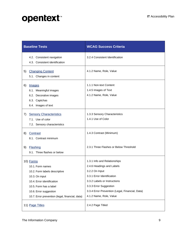| <b>Baseline Tests</b>                                                                                                                                                                                                 | <b>WCAG Success Criteria</b>                                                                                                                                                                                                                      |
|-----------------------------------------------------------------------------------------------------------------------------------------------------------------------------------------------------------------------|---------------------------------------------------------------------------------------------------------------------------------------------------------------------------------------------------------------------------------------------------|
| 4.2. Consistent navigation<br>4.3. Consistent identification                                                                                                                                                          | 3.2.4 Consistent Identification                                                                                                                                                                                                                   |
| <b>Changing Content</b><br>5)<br>5.1. Changes in content                                                                                                                                                              | 4.1.2 Name, Role, Value                                                                                                                                                                                                                           |
| 6)<br>Images<br>6.1. Meaningful images<br>6.2. Decorative images<br>6.3. Captchas<br>6.4. Images of text                                                                                                              | 1.1.1 Non-text Content<br>1.4.5 Images of Text<br>4.1.2 Name, Role, Value                                                                                                                                                                         |
| <b>Sensory Characteristics</b><br>7)<br>7.1. Use of color<br>7.2. Sensory characteristics                                                                                                                             | 1.3.3 Sensory Characteristics<br>1.4.1 Use of Color                                                                                                                                                                                               |
| 8)<br>Contrast<br>8.1. Contrast minimum                                                                                                                                                                               | 1.4.3 Contrast (Minimum)                                                                                                                                                                                                                          |
| Flashing<br>9)<br>9.1. Three flashes or below                                                                                                                                                                         | 2.3.1 Three Flashes or Below Threshold                                                                                                                                                                                                            |
| 10) Forms<br>10.1. Form names<br>10.2. Form labels descriptive<br>10.3. On input<br>10.4. Error identification<br>10.5. Form has a label<br>10.6. Error suggestion<br>10.7. Error prevention (legal, financial, data) | 1.3.1 Info and Relationships<br>2.4.6 Headings and Labels<br>3.2.2 On Input<br>3.3.1 Error Identification<br>3.3.2 Labels or Instructions<br>3.3.3 Error Suggestion<br>3.3.4 Error Prevention (Legal, Financial, Data)<br>4.1.2 Name, Role, Value |
| 11) Page Titles                                                                                                                                                                                                       | 2.4.2 Page Titled                                                                                                                                                                                                                                 |

The Information Company 9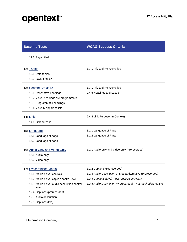| <b>Baseline Tests</b>                                                                                                                                                                                                                          | <b>WCAG Success Criteria</b>                                                                                                                                                                               |
|------------------------------------------------------------------------------------------------------------------------------------------------------------------------------------------------------------------------------------------------|------------------------------------------------------------------------------------------------------------------------------------------------------------------------------------------------------------|
| 11.1. Page titled                                                                                                                                                                                                                              |                                                                                                                                                                                                            |
| 12) Tables<br>12.1. Data tables<br>12.2. Layout tables                                                                                                                                                                                         | 1.3.1 Info and Relationships                                                                                                                                                                               |
| 13) Content Structure<br>13.1. Descriptive headings<br>13.2. Visual headings are programmatic<br>13.3. Programmatic headings<br>13.4. Visually apparent lists                                                                                  | 1.3.1 Info and Relationships<br>2.4.6 Headings and Labels                                                                                                                                                  |
| 14) Links<br>14.1. Link purpose                                                                                                                                                                                                                | 2.4.4 Link Purpose (In Context)                                                                                                                                                                            |
| 15) Language<br>15.1. Language of page<br>15.2. Language of parts                                                                                                                                                                              | 3.1.1 Language of Page<br>3.1.2 Language of Parts                                                                                                                                                          |
| 16) Audio-Only and Video-Only<br>16.1. Audio-only<br>16.2. Video-only                                                                                                                                                                          | 1.2.1 Audio-only and Video-only (Prerecorded)                                                                                                                                                              |
| 17) Synchronized Media<br>17.1. Media player controls<br>17.2. Media player caption control level<br>17.3. Media player audio description control<br>level<br>17.4. Captions (prerecorded)<br>17.5. Audio description<br>17.6. Captions (live) | 1.2.2 Captions (Prerecorded)<br>1.2.3 Audio Description or Media Alternative (Prerecorded)<br>1.2.4 Captions (Live) - not required by AODA<br>1.2.5 Audio Description (Prerecorded) - not required by AODA |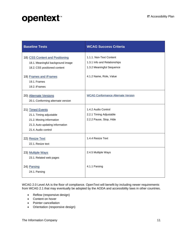| <b>Baseline Tests</b>                                                                                                             | <b>WCAG Success Criteria</b>                                                         |
|-----------------------------------------------------------------------------------------------------------------------------------|--------------------------------------------------------------------------------------|
| 18) CSS Content and Positioning<br>18.1. Meaningful background image<br>18.2. CSS positioned content                              | 1.1.1. Non-Text Content<br>1.3.1 Info and Relationships<br>1.3.2 Meaningful Sequence |
| 19) Frames and iFrames<br>19.1. Frames<br>19.2. iFrames                                                                           | 4.1.2 Name, Role, Value                                                              |
| 20) Alternate Versions<br>20.1. Conforming alternate version                                                                      | <b>WCAG Conformance Alternate Version</b>                                            |
| 21) Timed Events<br>21.1. Timing adjustable<br>21.2. Moving information<br>21.3. Auto-updating information<br>21.4. Audio control | 1.4.2 Audio Control<br>2.2.1 Timing Adjustable<br>2.2.2 Pause, Stop, Hide            |
| 22) Resize Text<br>22.1. Resize text                                                                                              | 1.4.4 Resize Text                                                                    |
| 23) Multiple Ways<br>23.1. Related web pages                                                                                      | 2.4.5 Multiple Ways                                                                  |
| 24) Parsing<br>24.1. Parsing                                                                                                      | 4.1.1 Parsing                                                                        |

WCAG 2.0 Level AA is the floor of compliance. OpenText will benefit by including newer requirements from WCAG 2.1 that may eventually be adopted by the AODA and accessibility laws in other countries.

- Reflow (responsive design)
- Content on hover
- Pointer cancellation
- Orientation (responsive design)

The Information Company 11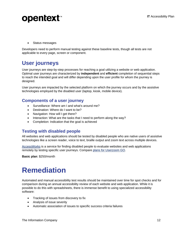

• Status messages

Developers need to perform manual testing against these baseline tests, though all tests are not applicable to every page, screen or component.

#### <span id="page-11-0"></span>**User journeys**

User journeys are step-by-step processes for reaching a goal utilizing a website or web application. Optimal user journeys are characterized by **independent** and **efficient** completion of sequential steps to reach the intended goal and will differ depending upon the user profile for whom the journey is designed.

User journeys are impacted by the selected platform on which the journey occurs and by the assistive technologies employed by the disabled user (laptop, kiosk, mobile device).

#### <span id="page-11-1"></span>**Components of a user journey**

- Surveillance: Where am I and what's around me?
- Destination: Where do I want to be?
- Navigation: How will I get there?
- Interaction: What are the tasks that I need to perform along the way?
- Completion: Indication that the goal is achieved

#### <span id="page-11-2"></span>**Testing with disabled people**

All websites and web applications should be tested by disabled people who are native users of assistive technologies like a screen reader, voice to text, braille output and zoom text across multiple devices.

[AccessWorks](https://access-works.com/) is a service for finding disabled people to evaluate websites and web applications remotely by testing specific user journeys. Compare [plans for Userzoom GO.](https://www.userzoom.com/plan-userzoom-go/)

**Basic plan**: \$250/month

### <span id="page-11-3"></span>**Remediation**

Automated and manual accessibility test results should be maintained over time for spot checks and for comparison during an annual accessibility review of each website and web application. While it is possible to do this with spreadsheets, there is immense benefit to using specialized accessibility software:

- Tracking of issues from discovery to fix
- Analysis of issue severity
- Automatic association of issues to specific success criteria failures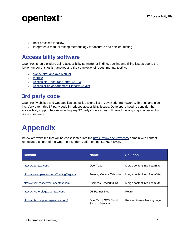

- Best practices to follow
- Integrates a manual testing methodology for accurate and efficient testing

#### <span id="page-12-0"></span>**Accessibility software**

OpenText should explore using accessibility software for finding, tracking and fixing issues due to the large number of sites it manages and the complexity of robust manual testing.

- [axe Auditor and axe Monitor](https://www.deque.com/axe/)
- [mortise](https://mortise.io/)
- [Accessible Resource Center](https://www.paciellogroup.com/products/accessibility-resource-center-arc/) (ARC)
- [Accessibility Management Platform \(AMP\)](https://www.levelaccess.com/solutions/software/amp/)

### <span id="page-12-1"></span>**3rd party code**

OpenText websites and web applications utilize a long list of JavaScript frameworks, libraries and plugins. Very often, this 3<sup>rd</sup> party code introduces accessibility issues. Developers need to consider the accessibility support before including any  $3<sup>rd</sup>$  party code as they will have to fix any major accessibility issues discovered.

# <span id="page-12-2"></span>**Appendix**

Below are websites that will be consolidated into the<https://www.opentext.com/> domain with content remediated as part of the OpenText Modernization project (1975084962).

| <b>Domain</b>                             | <b>Name</b>                                     | <b>Solution</b>              |
|-------------------------------------------|-------------------------------------------------|------------------------------|
| https://opentext.com/                     | OpenText                                        | Merge content into TeamSite  |
| https://www.opentext.com/TrainingRegistry | <b>Training Course Calendar</b>                 | Merge content into TeamSite  |
| https://businessnetwork.opentext.com/     | Business Network (EN)                           | Merge content into TeamSite  |
| https://partnerblogs.opentext.com/        | OT Partner Blog                                 | Retire                       |
| https://ottechsupport.wpengine.com/       | OpenText   GXS Cloud<br><b>Support Services</b> | Redirect to new landing page |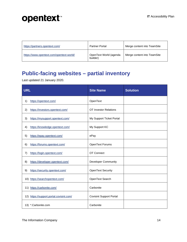| https://partners.opentext.com/           | <b>Partner Portal</b>              | Merge content into TeamSite |
|------------------------------------------|------------------------------------|-----------------------------|
| https://www.opentext.com/opentext-world/ | OpenText World (agenda<br>builder) | Merge content into TeamSite |

### <span id="page-13-0"></span>**Public-facing websites – partial inventory**

Last updated 21 January 2020.

| <b>URL</b>                               | <b>Site Name</b>               | <b>Solution</b> |
|------------------------------------------|--------------------------------|-----------------|
| https://opentext.com/<br>1)              | OpenText                       |                 |
| 2)<br>https://investors.opentext.com/    | <b>OT Investor Relations</b>   |                 |
| 3)<br>https://mysupport.opentext.com/    | My Support Ticket Portal       |                 |
| https://knowledge.opentext.com/<br>4)    | My Support KC                  |                 |
| https://epay.opentext.com/<br>5)         | ePay                           |                 |
| https://forums.opentext.com/<br>6)       | OpenText Forums                |                 |
| https://login.opentext.com/<br>7)        | OT Connect                     |                 |
| https://developer.opentext.com/<br>8)    | <b>Developer Community</b>     |                 |
| https://security.opentext.com/<br>9)     | OpenText Security              |                 |
| 10) https://searchopentext.com/          | OpenText Search                |                 |
| 11) https://carbonite.com/               | Carbonite                      |                 |
| 12) https://support.portal.covisint.com/ | <b>Covisint Support Portal</b> |                 |
| 13) *.Carbonite.com                      | Carbonite                      |                 |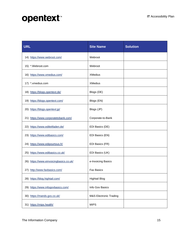| <b>URL</b>                              | <b>Site Name</b>                  | <b>Solution</b> |
|-----------------------------------------|-----------------------------------|-----------------|
| 14) https://www.webroot.com/            | Webroot                           |                 |
| 15) *. Webroot.com                      | Webroot                           |                 |
| 16) https://www.xmedius.com/            | <b>XMedius</b>                    |                 |
| 17) *.xmedius.com                       | <b>XMedius</b>                    |                 |
| 18) https://blogs.opentext.de/          | Blogs (DE)                        |                 |
| 19) https://blogs.opentext.com/         | Blogs (EN)                        |                 |
| 20) https://blogs.opentext.jp/          | Blogs (JP)                        |                 |
| 21) https://www.corporatetobank.com/    | Corporate-to-Bank                 |                 |
| 22) https://www.edileitfaden.de/        | EDI Basics (DE)                   |                 |
| 23) https://www.edibasics.com/          | EDI Basics (EN)                   |                 |
| 24) https://www.edipourtous.fr/         | EDI Basics (FR)                   |                 |
| 25) https://www.edibasics.co.uk/        | EDI Basics (UK)                   |                 |
| 26) https://www.einvoicingbasics.co.uk/ | e-Invoicing Basics                |                 |
| 27) http://www.faxbasics.com/           | <b>Fax Basics</b>                 |                 |
| 28) https://blog.hightail.com/          | <b>Hightail Blog</b>              |                 |
| 29) https://www.infogovbasics.com/      | Info Gov Basics                   |                 |
| 30) https://mands.gxs.co.uk/            | <b>M&amp;S Electronic Trading</b> |                 |
| 31) https://mips.health/                | <b>MIPS</b>                       |                 |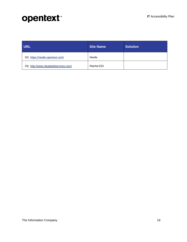| <b>URL</b>                             | <b>Site Name</b>   | <b>Solution</b> |
|----------------------------------------|--------------------|-----------------|
| 32) https://nestle.opentext.com/       | Nestle             |                 |
| 33) http://www.riteaidediservices.com/ | <b>RiteAid EDI</b> |                 |